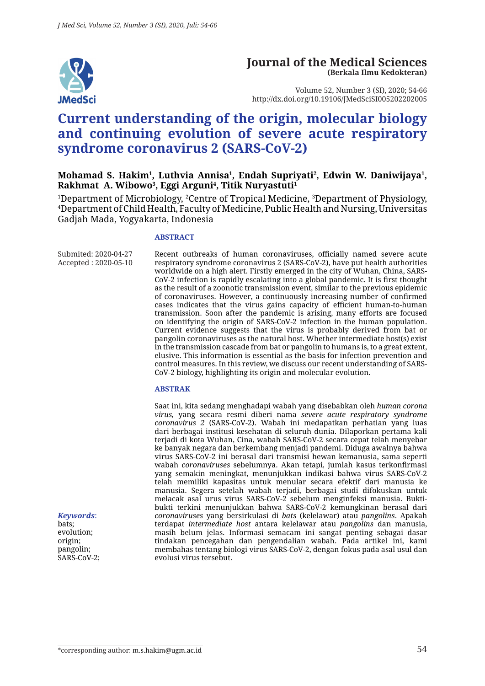

#### **Journal of the Medical Sciences (Berkala Ilmu Kedokteran)**

Volume 52, Number 3 (SI), 2020; 54-66 http://dx.doi.org/10.19106/JMedSciSI005202202005

# **Current understanding of the origin, molecular biology and continuing evolution of severe acute respiratory syndrome coronavirus 2 (SARS-CoV-2)**

Mohamad S. Hakim<sup>1</sup>, Luthvia Annisa<sup>1</sup>, Endah Supriyati<sup>2</sup>, Edwin W. Daniwijaya<sup>1</sup>, **Rakhmat A. Wibowo3 , Eggi Arguni4 , Titik Nuryastuti1**

<sup>1</sup>Department of Microbiology, <sup>2</sup>Centre of Tropical Medicine, <sup>3</sup>Department of Physiology, 4 Department of Child Health, Faculty of Medicine, Public Health and Nursing, Universitas Gadjah Mada, Yogyakarta, Indonesia

#### **ABSTRACT**

Submited: 2020-04-27 Accepted : 2020-05-10 Recent outbreaks of human coronaviruses, officially named severe acute respiratory syndrome coronavirus 2 (SARS-CoV-2), have put health authorities worldwide on a high alert. Firstly emerged in the city of Wuhan, China, SARS-CoV-2 infection is rapidly escalating into a global pandemic. It is first thought as the result of a zoonotic transmission event, similar to the previous epidemic of coronaviruses. However, a continuously increasing number of confirmed cases indicates that the virus gains capacity of efficient human-to-human transmission. Soon after the pandemic is arising, many efforts are focused on identifying the origin of SARS-CoV-2 infection in the human population. Current evidence suggests that the virus is probably derived from bat or pangolin coronaviruses as the natural host. Whether intermediate host(s) exist in the transmission cascade from bat or pangolin to humans is, to a great extent, elusive. This information is essential as the basis for infection prevention and control measures. In this review, we discuss our recent understanding of SARS-CoV-2 biology, highlighting its origin and molecular evolution.

#### **ABSTRAK**

Saat ini, kita sedang menghadapi wabah yang disebabkan oleh *human corona virus,* yang secara resmi diberi nama *severe acute respiratory syndrome coronavirus 2* (SARS-CoV-2). Wabah ini medapatkan perhatian yang luas dari berbagai institusi kesehatan di seluruh dunia. Dilaporkan pertama kali terjadi di kota Wuhan, Cina, wabah SARS-CoV-2 secara cepat telah menyebar ke banyak negara dan berkembang menjadi pandemi. Diduga awalnya bahwa virus SARS-CoV-2 ini berasal dari transmisi hewan kemanusia, sama seperti wabah *coronaviruses* sebelumnya. Akan tetapi, jumlah kasus terkonfirmasi yang semakin meningkat, menunjukkan indikasi bahwa virus SARS-CoV-2 telah memiliki kapasitas untuk menular secara efektif dari manusia ke manusia. Segera setelah wabah terjadi, berbagai studi difokuskan untuk melacak asal urus virus SARS-CoV-2 sebelum menginfeksi manusia. Buktibukti terkini menunjukkan bahwa SARS-CoV-2 kemungkinan berasal dari *coronaviruses* yang bersirkulasi di *bats* (kelelawar) atau *pangolins*. Apakah terdapat *intermediate host* antara kelelawar atau *pangolins* dan manusia, masih belum jelas. Informasi semacam ini sangat penting sebagai dasar tindakan pencegahan dan pengendalian wabah. Pada artikel ini, kami membahas tentang biologi virus SARS-CoV-2, dengan fokus pada asal usul dan evolusi virus tersebut.

*Keywords*: bats; evolution; origin; pangolin; SARS-CoV-2: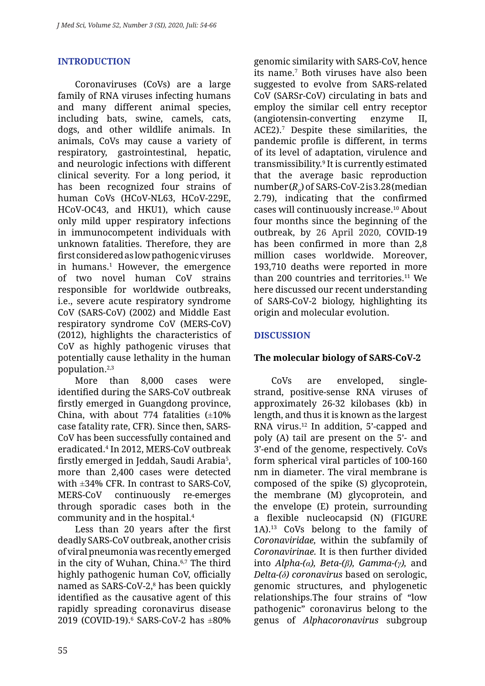### **INTRODUCTION**

Coronaviruses (CoVs) are a large family of RNA viruses infecting humans and many different animal species, including bats, swine, camels, cats, dogs, and other wildlife animals. In animals, CoVs may cause a variety of respiratory, gastrointestinal, hepatic, and neurologic infections with different clinical severity. For a long period, it has been recognized four strains of human CoVs (HCoV-NL63, HCoV-229E, HCoV-OC43, and HKU1), which cause only mild upper respiratory infections in immunocompetent individuals with unknown fatalities. Therefore, they are first considered as low pathogenic viruses in humans.1 However, the emergence of two novel human CoV strains responsible for worldwide outbreaks, i.e., severe acute respiratory syndrome CoV (SARS-CoV) (2002) and Middle East respiratory syndrome CoV (MERS-CoV) (2012), highlights the characteristics of CoV as highly pathogenic viruses that potentially cause lethality in the human population.2,3

More than 8,000 cases were identified during the SARS-CoV outbreak firstly emerged in Guangdong province, China, with about 774 fatalities  $(\pm 10\%$ case fatality rate, CFR). Since then, SARS-CoV has been successfully contained and eradicated.4 In 2012, MERS-CoV outbreak firstly emerged in Jeddah, Saudi Arabia<sup>5</sup>, more than 2,400 cases were detected with ±34% CFR. In contrast to SARS-CoV, MERS-CoV continuously re-emerges through sporadic cases both in the community and in the hospital.4

Less than 20 years after the first deadly SARS-CoV outbreak, another crisis of viral pneumonia was recently emerged in the city of Wuhan, China. $6,7$  The third highly pathogenic human CoV, officially named as SARS-CoV-2,<sup>8</sup> has been quickly identified as the causative agent of this rapidly spreading coronavirus disease 2019 (COVID-19).6 SARS-CoV-2 has ±80% genomic similarity with SARS-CoV, hence its name.7 Both viruses have also been suggested to evolve from SARS-related CoV (SARSr-CoV) circulating in bats and employ the similar cell entry receptor (angiotensin-converting enzyme II, ACE2).7 Despite these similarities, the pandemic profile is different, in terms of its level of adaptation, virulence and transmissibility.9 It is currently estimated that the average basic reproduction number (*R0* ) of SARS-CoV-2 is 3.28 (median 2.79), indicating that the confirmed cases will continuously increase.10 About four months since the beginning of the outbreak, by 26 April 2020, COVID-19 has been confirmed in more than 2,8 million cases worldwide. Moreover, 193,710 deaths were reported in more than 200 countries and territories.<sup>11</sup> We here discussed our recent understanding of SARS-CoV-2 biology, highlighting its origin and molecular evolution.

### **DISCUSSION**

#### **The molecular biology of SARS-CoV-2**

CoVs are enveloped, singlestrand, positive-sense RNA viruses of approximately 26-32 kilobases (kb) in length, and thus it is known as the largest RNA virus.12 In addition, 5'-capped and poly (A) tail are present on the 5'- and 3'-end of the genome, respectively. CoVs form spherical viral particles of 100-160 nm in diameter. The viral membrane is composed of the spike (S) glycoprotein, the membrane (M) glycoprotein, and the envelope (E) protein, surrounding a flexible nucleocapsid (N) (FIGURE 1A).13 CoVs belong to the family of *Coronaviridae,* within the subfamily of *Coronavirinae.* It is then further divided into *Alpha-(α), Beta-(β), Gamma-(γ),* and *Delta-(δ) coronavirus* based on serologic, genomic structures, and phylogenetic relationships.The four strains of "low pathogenic" coronavirus belong to the genus of *Alphacoronavirus* subgroup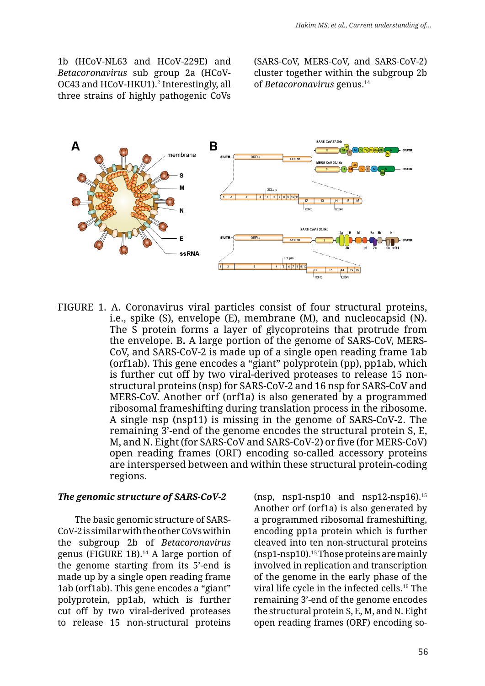1b (HCoV-NL63 and HCoV-229E) and *Betacoronavirus* sub group 2a (HCoV-OC43 and HCoV-HKU1).2 Interestingly, all three strains of highly pathogenic CoVs

(SARS-CoV, MERS-CoV, and SARS-CoV-2) cluster together within the subgroup 2b of *Betacoronavirus* genus.14



FIGURE 1. A. Coronavirus viral particles consist of four structural proteins, i.e., spike (S), envelope (E), membrane (M), and nucleocapsid (N). The S protein forms a layer of glycoproteins that protrude from the envelope. B**.** A large portion of the genome of SARS-CoV, MERS-CoV, and SARS-CoV-2 is made up of a single open reading frame 1ab (orf1ab). This gene encodes a "giant" polyprotein (pp), pp1ab, which is further cut off by two viral-derived proteases to release 15 nonstructural proteins (nsp) for SARS-CoV-2 and 16 nsp for SARS-CoV and MERS-CoV. Another orf (orf1a) is also generated by a programmed ribosomal frameshifting during translation process in the ribosome. A single nsp (nsp11) is missing in the genome of SARS-CoV-2. The remaining 3'-end of the genome encodes the structural protein S, E, M, and N. Eight (for SARS-CoV and SARS-CoV-2) or five (for MERS-CoV) open reading frames (ORF) encoding so-called accessory proteins are interspersed between and within these structural protein-coding regions.

#### *The genomic structure of SARS-CoV-2*

The basic genomic structure of SARS-CoV-2 is similar with the other CoVs within the subgroup 2b of *Betacoronavirus*  genus (FIGURE 1B).14 A large portion of the genome starting from its 5'-end is made up by a single open reading frame 1ab (orf1ab). This gene encodes a "giant" polyprotein, pp1ab, which is further cut off by two viral-derived proteases to release 15 non-structural proteins (nsp, nsp1-nsp10 and nsp12-nsp16). $15$ Another orf (orf1a) is also generated by a programmed ribosomal frameshifting, encoding pp1a protein which is further cleaved into ten non-structural proteins (nsp1-nsp10).15 Those proteins are mainly involved in replication and transcription of the genome in the early phase of the viral life cycle in the infected cells.16 The remaining 3'-end of the genome encodes the structural protein S, E, M, and N. Eight open reading frames (ORF) encoding so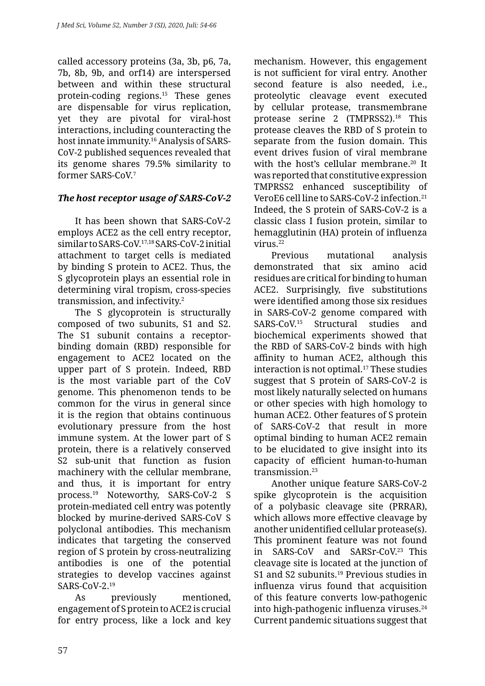called accessory proteins (3a, 3b, p6, 7a, 7b, 8b, 9b, and orf14) are interspersed between and within these structural protein-coding regions.15 These genes are dispensable for virus replication, yet they are pivotal for viral-host interactions, including counteracting the host innate immunity.16 Analysis of SARS-CoV-2 published sequences revealed that its genome shares 79.5% similarity to former SARS-CoV.7

# *The host receptor usage of SARS-CoV-2*

It has been shown that SARS-CoV-2 employs ACE2 as the cell entry receptor, similar to SARS-CoV.17,18 SARS-CoV-2 initial attachment to target cells is mediated by binding S protein to ACE2. Thus, the S glycoprotein plays an essential role in determining viral tropism, cross-species transmission, and infectivity.2

The S glycoprotein is structurally composed of two subunits, S1 and S2. The S1 subunit contains a receptorbinding domain (RBD) responsible for engagement to ACE2 located on the upper part of S protein. Indeed, RBD is the most variable part of the CoV genome. This phenomenon tends to be common for the virus in general since it is the region that obtains continuous evolutionary pressure from the host immune system. At the lower part of S protein, there is a relatively conserved S2 sub-unit that function as fusion machinery with the cellular membrane, and thus, it is important for entry process.19 Noteworthy, SARS-CoV-2 S protein-mediated cell entry was potently blocked by murine-derived SARS-CoV S polyclonal antibodies. This mechanism indicates that targeting the conserved region of S protein by cross-neutralizing antibodies is one of the potential strategies to develop vaccines against  $SARS-CoV-2.19$ 

As previously mentioned, engagement of S protein to ACE2 is crucial for entry process, like a lock and key mechanism. However, this engagement is not sufficient for viral entry. Another second feature is also needed, i.e., proteolytic cleavage event executed by cellular protease, transmembrane protease serine 2 (TMPRSS2).18 This protease cleaves the RBD of S protein to separate from the fusion domain. This event drives fusion of viral membrane with the host's cellular membrane.<sup>20</sup> It was reported that constitutive expression TMPRSS2 enhanced susceptibility of VeroE6 cell line to SARS-CoV-2 infection.21 Indeed, the S protein of SARS-CoV-2 is a classic class I fusion protein, similar to hemagglutinin (HA) protein of influenza virus.22

Previous mutational analysis demonstrated that six amino acid residues are critical for binding to human ACE2. Surprisingly, five substitutions were identified among those six residues in SARS-CoV-2 genome compared with SARS-CoV.15 Structural studies and biochemical experiments showed that the RBD of SARS-CoV-2 binds with high affinity to human ACE2, although this interaction is not optimal.<sup>17</sup> These studies suggest that S protein of SARS-CoV-2 is most likely naturally selected on humans or other species with high homology to human ACE2. Other features of S protein of SARS-CoV-2 that result in more optimal binding to human ACE2 remain to be elucidated to give insight into its capacity of efficient human-to-human transmission.<sup>23</sup>

Another unique feature SARS-CoV-2 spike glycoprotein is the acquisition of a polybasic cleavage site (PRRAR), which allows more effective cleavage by another unidentified cellular protease(s). This prominent feature was not found in SARS-CoV and SARSr-CoV.23 This cleavage site is located at the junction of S1 and S2 subunits.<sup>19</sup> Previous studies in influenza virus found that acquisition of this feature converts low-pathogenic into high-pathogenic influenza viruses.<sup>24</sup> Current pandemic situations suggest that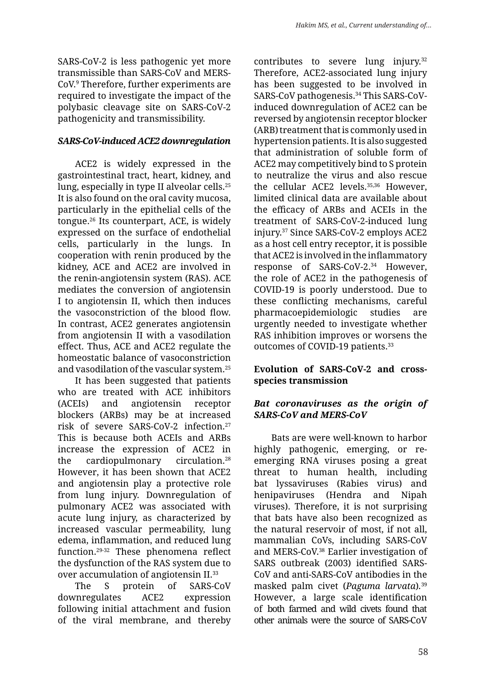SARS-CoV-2 is less pathogenic yet more transmissible than SARS-CoV and MERS-CoV.9 Therefore, further experiments are required to investigate the impact of the polybasic cleavage site on SARS-CoV-2 pathogenicity and transmissibility.

### *SARS-CoV-induced ACE2 downregulation*

ACE2 is widely expressed in the gastrointestinal tract, heart, kidney, and lung, especially in type II alveolar cells.25 It is also found on the oral cavity mucosa, particularly in the epithelial cells of the tongue.26 Its counterpart, ACE, is widely expressed on the surface of endothelial cells, particularly in the lungs. In cooperation with renin produced by the kidney, ACE and ACE2 are involved in the renin-angiotensin system (RAS). ACE mediates the conversion of angiotensin I to angiotensin II, which then induces the vasoconstriction of the blood flow. In contrast, ACE2 generates angiotensin from angiotensin II with a vasodilation effect. Thus, ACE and ACE2 regulate the homeostatic balance of vasoconstriction and vasodilation of the vascular system.25

It has been suggested that patients who are treated with ACE inhibitors (ACEIs) and angiotensin receptor blockers (ARBs) may be at increased risk of severe SARS-CoV-2 infection.27 This is because both ACEIs and ARBs increase the expression of ACE2 in the cardiopulmonary circulation.28 However, it has been shown that ACE2 and angiotensin play a protective role from lung injury. Downregulation of pulmonary ACE2 was associated with acute lung injury, as characterized by increased vascular permeability, lung edema, inflammation, and reduced lung function.29-32 These phenomena reflect the dysfunction of the RAS system due to over accumulation of angiotensin II.33

The S protein of SARS-CoV downregulates ACE2 expression following initial attachment and fusion of the viral membrane, and thereby contributes to severe lung injury.<sup>32</sup> Therefore, ACE2-associated lung injury has been suggested to be involved in SARS-CoV pathogenesis.<sup>34</sup> This SARS-CoVinduced downregulation of ACE2 can be reversed by angiotensin receptor blocker (ARB) treatment that is commonly used in hypertension patients. It is also suggested that administration of soluble form of ACE2 may competitively bind to S protein to neutralize the virus and also rescue the cellular ACE2 levels.35,36 However, limited clinical data are available about the efficacy of ARBs and ACEIs in the treatment of SARS-CoV-2-induced lung injury.37 Since SARS-CoV-2 employs ACE2 as a host cell entry receptor, it is possible that ACE2 is involved in the inflammatory response of SARS-CoV-2.34 However, the role of ACE2 in the pathogenesis of COVID-19 is poorly understood. Due to these conflicting mechanisms, careful pharmacoepidemiologic studies are urgently needed to investigate whether RAS inhibition improves or worsens the outcomes of COVID-19 patients.<sup>33</sup>

### **Evolution of SARS-CoV-2 and crossspecies transmission**

### *Bat coronaviruses as the origin of SARS-CoV and MERS-CoV*

Bats are were well-known to harbor highly pathogenic, emerging, or reemerging RNA viruses posing a great threat to human health, including bat lyssaviruses (Rabies virus) and henipaviruses (Hendra and Nipah viruses). Therefore, it is not surprising that bats have also been recognized as the natural reservoir of most, if not all, mammalian CoVs, including SARS-CoV and MERS-CoV.38 Earlier investigation of SARS outbreak (2003) identified SARS-CoV and anti-SARS-CoV antibodies in the masked palm civet (*Paguma larvata*)*.* 39 However, a large scale identification of both farmed and wild civets found that other animals were the source of SARS-CoV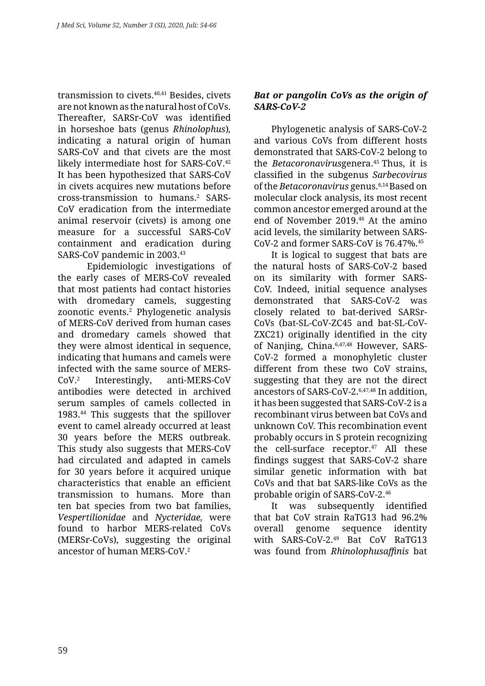transmission to civets.40,41 Besides, civets are not known as the natural host of CoVs. Thereafter, SARSr-CoV was identified in horseshoe bats (genus *Rhinolophus*)*,*  indicating a natural origin of human SARS-CoV and that civets are the most likely intermediate host for SARS-CoV.<sup>42</sup> It has been hypothesized that SARS-CoV in civets acquires new mutations before cross-transmission to humans.2 SARS-CoV eradication from the intermediate animal reservoir (civets) is among one measure for a successful SARS-CoV containment and eradication during SARS-CoV pandemic in 2003.43

Epidemiologic investigations of the early cases of MERS-CoV revealed that most patients had contact histories with dromedary camels, suggesting zoonotic events.2 Phylogenetic analysis of MERS-CoV derived from human cases and dromedary camels showed that they were almost identical in sequence, indicating that humans and camels were infected with the same source of MERS- $Cov<sup>2</sup>$  Interestingly, anti-MERS-CoV antibodies were detected in archived serum samples of camels collected in 1983.44 This suggests that the spillover event to camel already occurred at least 30 years before the MERS outbreak. This study also suggests that MERS-CoV had circulated and adapted in camels for 30 years before it acquired unique characteristics that enable an efficient transmission to humans. More than ten bat species from two bat families, *Vespertilionidae* and *Nycteridae,* were found to harbor MERS-related CoVs (MERSr-CoVs), suggesting the original ancestor of human MERS-CoV.2

## *Bat or pangolin CoVs as the origin of SARS-CoV-2*

Phylogenetic analysis of SARS-CoV-2 and various CoVs from different hosts demonstrated that SARS-CoV-2 belong to the *Betacoronavirus*genera.45 Thus, it is classified in the subgenus *Sarbecovirus*  of the *Betacoronavirus* genus.6,14 Based on molecular clock analysis, its most recent common ancestor emerged around at the end of November 2019.46 At the amino acid levels, the similarity between SARS-CoV-2 and former SARS-CoV is 76.47%.45

It is logical to suggest that bats are the natural hosts of SARS-CoV-2 based on its similarity with former SARS-CoV. Indeed, initial sequence analyses demonstrated that SARS-CoV-2 was closely related to bat-derived SARSr-CoVs (bat-SL-CoV-ZC45 and bat-SL-CoV-ZXC21) originally identified in the city of Nanjing, China.6,47,48 However, SARS-CoV-2 formed a monophyletic cluster different from these two CoV strains. suggesting that they are not the direct ancestors of SARS-CoV-2.6,47,48 In addition, it has been suggested that SARS-CoV-2 is a recombinant virus between bat CoVs and unknown CoV. This recombination event probably occurs in S protein recognizing the cell-surface receptor.<sup>47</sup> All these findings suggest that SARS-CoV-2 share similar genetic information with bat CoVs and that bat SARS-like CoVs as the probable origin of SARS-CoV-2.46

It was subsequently identified that bat CoV strain RaTG13 had 96.2% overall genome sequence identity with SARS-CoV-2.49 Bat CoV RaTG13 was found from *Rhinolophusaffinis* bat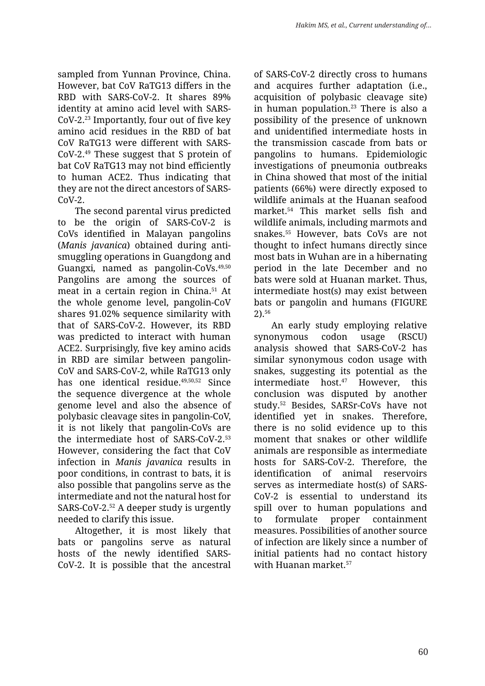sampled from Yunnan Province, China. However, bat CoV RaTG13 differs in the RBD with SARS-CoV-2. It shares 89% identity at amino acid level with SARS-CoV-2.23 Importantly, four out of five key amino acid residues in the RBD of bat CoV RaTG13 were different with SARS-CoV-2.49 These suggest that S protein of bat CoV RaTG13 may not bind efficiently to human ACE2. Thus indicating that they are not the direct ancestors of SARS- $Cov-2$ .

The second parental virus predicted to be the origin of SARS-CoV-2 is CoVs identified in Malayan pangolins (*Manis javanica*) obtained during antismuggling operations in Guangdong and Guangxi*,* named as pangolin-CoVs.49,50 Pangolins are among the sources of meat in a certain region in China.51 At the whole genome level, pangolin-CoV shares 91.02% sequence similarity with that of SARS-CoV-2. However, its RBD was predicted to interact with human ACE2. Surprisingly, five key amino acids in RBD are similar between pangolin-CoV and SARS-CoV-2, while RaTG13 only has one identical residue.<sup>49,50,52</sup> Since the sequence divergence at the whole genome level and also the absence of polybasic cleavage sites in pangolin-CoV, it is not likely that pangolin-CoVs are the intermediate host of SARS-CoV-2.53 However, considering the fact that CoV infection in *Manis javanica* results in poor conditions, in contrast to bats, it is also possible that pangolins serve as the intermediate and not the natural host for SARS-CoV-2.52 A deeper study is urgently needed to clarify this issue.

Altogether, it is most likely that bats or pangolins serve as natural hosts of the newly identified SARS-CoV-2. It is possible that the ancestral of SARS-CoV-2 directly cross to humans and acquires further adaptation (i.e., acquisition of polybasic cleavage site) in human population. $23$  There is also a possibility of the presence of unknown and unidentified intermediate hosts in the transmission cascade from bats or pangolins to humans. Epidemiologic investigations of pneumonia outbreaks in China showed that most of the initial patients (66%) were directly exposed to wildlife animals at the Huanan seafood market.54 This market sells fish and wildlife animals, including marmots and snakes.55 However, bats CoVs are not thought to infect humans directly since most bats in Wuhan are in a hibernating period in the late December and no bats were sold at Huanan market. Thus, intermediate host(s) may exist between bats or pangolin and humans (FIGURE 2).56

An early study employing relative synonymous codon usage (RSCU) analysis showed that SARS-CoV-2 has similar synonymous codon usage with snakes, suggesting its potential as the intermediate host.47 However, this conclusion was disputed by another study.52 Besides, SARSr-CoVs have not identified yet in snakes. Therefore, there is no solid evidence up to this moment that snakes or other wildlife animals are responsible as intermediate hosts for SARS-CoV-2. Therefore, the identification of animal reservoirs serves as intermediate host(s) of SARS-CoV-2 is essential to understand its spill over to human populations and to formulate proper containment measures. Possibilities of another source of infection are likely since a number of initial patients had no contact history with Huanan market.<sup>57</sup>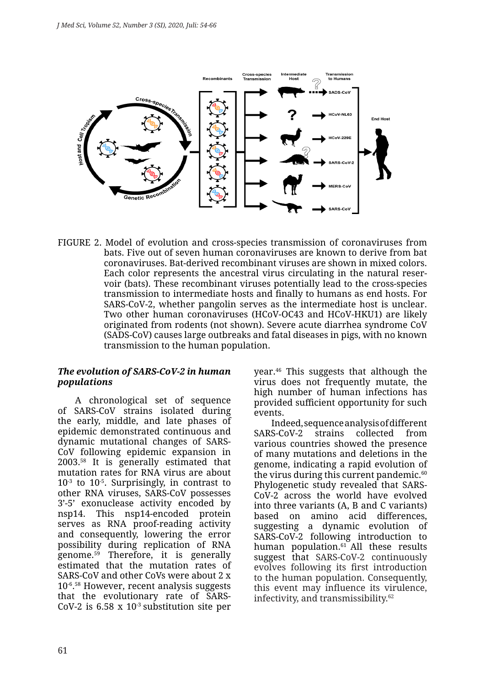

FIGURE 2. Model of evolution and cross-species transmission of coronaviruses from bats. Five out of seven human coronaviruses are known to derive from bat coronaviruses. Bat-derived recombinant viruses are shown in mixed colors. Each color represents the ancestral virus circulating in the natural reservoir (bats). These recombinant viruses potentially lead to the cross-species transmission to intermediate hosts and finally to humans as end hosts. For SARS-CoV-2, whether pangolin serves as the intermediate host is unclear. Two other human coronaviruses (HCoV-OC43 and HCoV-HKU1) are likely originated from rodents (not shown). Severe acute diarrhea syndrome CoV (SADS-CoV) causes large outbreaks and fatal diseases in pigs, with no known transmission to the human population.

#### *The evolution of SARS-CoV-2 in human populations*

A chronological set of sequence of SARS-CoV strains isolated during the early, middle, and late phases of epidemic demonstrated continuous and dynamic mutational changes of SARS-CoV following epidemic expansion in 2003.58 It is generally estimated that mutation rates for RNA virus are about  $10<sup>-3</sup>$  to  $10<sup>-5</sup>$ . Surprisingly, in contrast to other RNA viruses, SARS-CoV possesses 3'-5' exonuclease activity encoded by nsp14. This nsp14-encoded protein serves as RNA proof-reading activity and consequently, lowering the error possibility during replication of RNA genome. $59$  Therefore, it is generally estimated that the mutation rates of SARS-CoV and other CoVs were about 2 x 10-6. 58 However, recent analysis suggests that the evolutionary rate of SARS-CoV-2 is  $6.58 \times 10^{-3}$  substitution site per

year.46 This suggests that although the virus does not frequently mutate, the high number of human infections has provided sufficient opportunity for such events.

Indeed, sequence analysis of different SARS-CoV-2 strains collected from various countries showed the presence of many mutations and deletions in the genome, indicating a rapid evolution of the virus during this current pandemic. $60$ Phylogenetic study revealed that SARS-CoV-2 across the world have evolved into three variants (A, B and C variants) based on amino acid differences, suggesting a dynamic evolution of SARS-CoV-2 following introduction to human population.<sup>61</sup> All these results suggest that SARS-CoV-2 continuously evolves following its first introduction to the human population. Consequently, this event may influence its virulence, infectivity, and transmissibility.62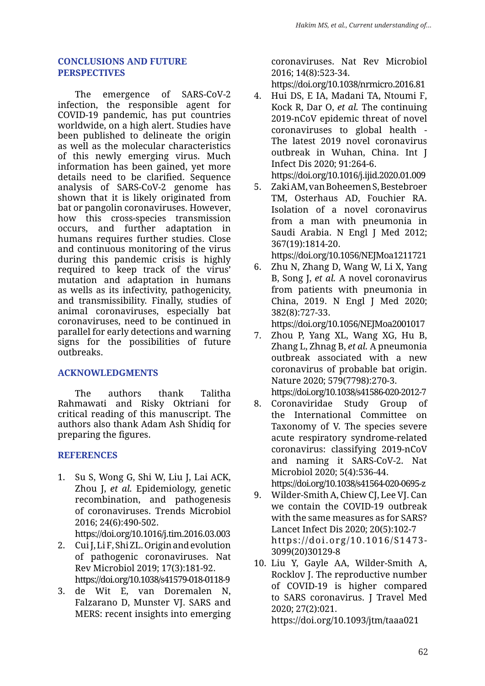#### **CONCLUSIONS AND FUTURE PERSPECTIVES**

The emergence of SARS-CoV-2 infection, the responsible agent for COVID-19 pandemic, has put countries worldwide, on a high alert. Studies have been published to delineate the origin as well as the molecular characteristics of this newly emerging virus. Much information has been gained, yet more details need to be clarified. Sequence analysis of SARS-CoV-2 genome has shown that it is likely originated from bat or pangolin coronaviruses. However, how this cross-species transmission occurs, and further adaptation in humans requires further studies. Close and continuous monitoring of the virus during this pandemic crisis is highly required to keep track of the virus' mutation and adaptation in humans as wells as its infectivity, pathogenicity, and transmissibility. Finally, studies of animal coronaviruses, especially bat coronaviruses, need to be continued in parallel for early detections and warning signs for the possibilities of future outbreaks.

#### **ACKNOWLEDGMENTS**

The authors thank Talitha Rahmawati and Risky Oktriani for critical reading of this manuscript. The authors also thank Adam Ash Shidiq for preparing the figures.

# **REFERENCES**

1. Su S, Wong G, Shi W, Liu J, Lai ACK, Zhou J, *et al.* Epidemiology, genetic recombination, and pathogenesis of coronaviruses. Trends Microbiol 2016; 24(6):490-502.

https://doi.org/10.1016/j.tim.2016.03.003

- 2. Cui J, Li F, Shi ZL. Origin and evolution of pathogenic coronaviruses. Nat Rev Microbiol 2019; 17(3):181-92. https://doi.org/10.1038/s41579-018-0118-9
- 3. de Wit E, van Doremalen N, Falzarano D, Munster VJ. SARS and MERS: recent insights into emerging

coronaviruses. Nat Rev Microbiol 2016; 14(8):523-34.

https://doi.org/10.1038/nrmicro.2016.81

4. Hui DS, E IA, Madani TA, Ntoumi F, Kock R, Dar O, *et al.* The continuing 2019-nCoV epidemic threat of novel coronaviruses to global health - The latest 2019 novel coronavirus outbreak in Wuhan, China. Int J Infect Dis 2020; 91:264-6. https://doi.org/10.1016/j.ijid.2020.01.009

- 5. Zaki AM, van Boheemen S, Bestebroer TM, Osterhaus AD, Fouchier RA. Isolation of a novel coronavirus from a man with pneumonia in Saudi Arabia. N Engl J Med 2012; 367(19):1814-20. https://doi.org/10.1056/NEJMoa1211721
- 6. Zhu N, Zhang D, Wang W, Li X, Yang B, Song J, *et al.* A novel coronavirus from patients with pneumonia in China, 2019. N Engl J Med 2020; 382(8):727-33.

https://doi.org/10.1056/NEJMoa2001017

- 7. Zhou P, Yang XL, Wang XG, Hu B, Zhang L, Zhnag B, *et al.* A pneumonia outbreak associated with a new coronavirus of probable bat origin. Nature 2020; 579(7798):270-3. https://doi.org/10.1038/s41586-020-2012-7
- 8. Coronaviridae Study Group of the International Committee on Taxonomy of V. The species severe acute respiratory syndrome-related coronavirus: classifying 2019-nCoV and naming it SARS-CoV-2. Nat Microbiol 2020; 5(4):536-44. https://doi.org/10.1038/s41564-020-0695-z
- 9. Wilder-Smith A, Chiew CJ, Lee VJ. Can we contain the COVID-19 outbreak with the same measures as for SARS? Lancet Infect Dis 2020; 20(5):102-7 https://doi.org/10.1016/S1473- 3099(20)30129-8
- 10. Liu Y, Gayle AA, Wilder-Smith A, Rocklov J. The reproductive number of COVID-19 is higher compared to SARS coronavirus. J Travel Med 2020; 27(2):021.

https://doi.org/10.1093/jtm/taaa021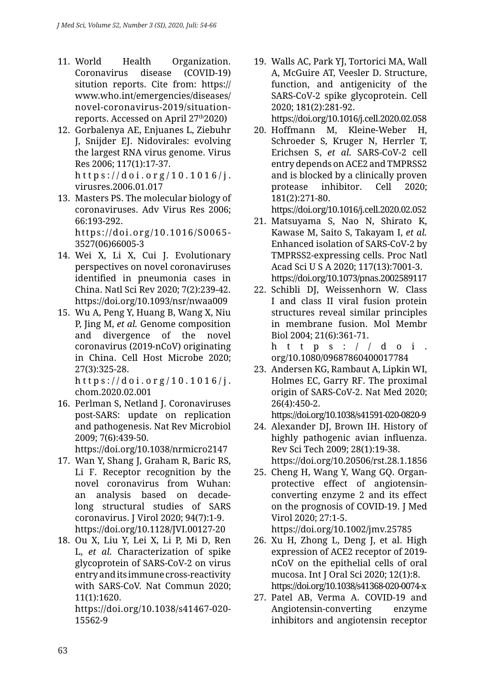- 11. World Health Organization. Coronavirus disease (COVID-19) sitution reports. Cite from: https:// www.who.int/emergencies/diseases/ novel-coronavirus-2019/situationreports. Accessed on April 27th2020)
- 12. Gorbalenya AE, Enjuanes L, Ziebuhr J, Snijder EJ. Nidovirales: evolving the largest RNA virus genome. Virus Res 2006; 117(1):17-37. https://doi.org/10.1016/j.
- virusres.2006.01.017 13. Masters PS. The molecular biology of coronaviruses. Adv Virus Res 2006; 66:193-292. https://doi.org/10.1016/S0065- 3527(06)66005-3
- 14. Wei X, Li X, Cui J. Evolutionary perspectives on novel coronaviruses identified in pneumonia cases in China. Natl Sci Rev 2020; 7(2):239-42. https://doi.org/10.1093/nsr/nwaa009
- 15. Wu A, Peng Y, Huang B, Wang X, Niu P, Jing M, *et al.* Genome composition and divergence of the novel coronavirus (2019-nCoV) originating in China. Cell Host Microbe 2020; 27(3):325-28.

https://doi.org/10.1016/j. chom.2020.02.001

16. Perlman S, Netland J. Coronaviruses post-SARS: update on replication and pathogenesis. Nat Rev Microbiol 2009; 7(6):439-50.

https://doi.org/10.1038/nrmicro2147

- 17. Wan Y, Shang J, Graham R, Baric RS, Li F. Receptor recognition by the novel coronavirus from Wuhan: an analysis based on decadelong structural studies of SARS coronavirus. J Virol 2020; 94(7):1-9. https://doi.org/10.1128/JVI.00127-20
- 18. Ou X, Liu Y, Lei X, Li P, Mi D, Ren L, *et al.* Characterization of spike glycoprotein of SARS-CoV-2 on virus entry and its immune cross-reactivity with SARS-CoV. Nat Commun 2020; 11(1):1620.

https://doi.org/10.1038/s41467-020- 15562-9

19. Walls AC, Park YJ, Tortorici MA, Wall A, McGuire AT, Veesler D. Structure, function, and antigenicity of the SARS-CoV-2 spike glycoprotein. Cell 2020; 181(2):281-92.

https://doi.org/10.1016/j.cell.2020.02.058

20. Hoffmann M, Kleine-Weber H, Schroeder S, Kruger N, Herrler T, Erichsen S, *et al.* SARS-CoV-2 cell entry depends on ACE2 and TMPRSS2 and is blocked by a clinically proven protease inhibitor. Cell 2020; 181(2):271-80.

https://doi.org/10.1016/j.cell.2020.02.052

- 21. Matsuyama S, Nao N, Shirato K, Kawase M, Saito S, Takayam I, *et al.* Enhanced isolation of SARS-CoV-2 by TMPRSS2-expressing cells. Proc Natl Acad Sci U S A 2020; 117(13):7001-3. https://doi.org/10.1073/pnas.2002589117
- 22. Schibli DJ, Weissenhorn W. Class I and class II viral fusion protein structures reveal similar principles in membrane fusion. Mol Membr Biol 2004; 21(6):361-71.

https:// $d$ oi. org/10.1080/09687860400017784

23. Andersen KG, Rambaut A, Lipkin WI, Holmes EC, Garry RF. The proximal origin of SARS-CoV-2. Nat Med 2020; 26(4):450-2.

https://doi.org/10.1038/s41591-020-0820-9

- 24. Alexander DJ, Brown IH. History of highly pathogenic avian influenza. Rev Sci Tech 2009; 28(1):19-38. https://doi.org/10.20506/rst.28.1.1856
- 25. Cheng H, Wang Y, Wang GQ. Organprotective effect of angiotensinconverting enzyme 2 and its effect on the prognosis of COVID-19. J Med Virol 2020; 27:1-5. https://doi.org/10.1002/jmv.25785
- 26. Xu H, Zhong L, Deng J, et al. High expression of ACE2 receptor of 2019 nCoV on the epithelial cells of oral mucosa. Int J Oral Sci 2020; 12(1):8. https://doi.org/10.1038/s41368-020-0074-x
- 27. Patel AB, Verma A. COVID-19 and Angiotensin-converting enzyme inhibitors and angiotensin receptor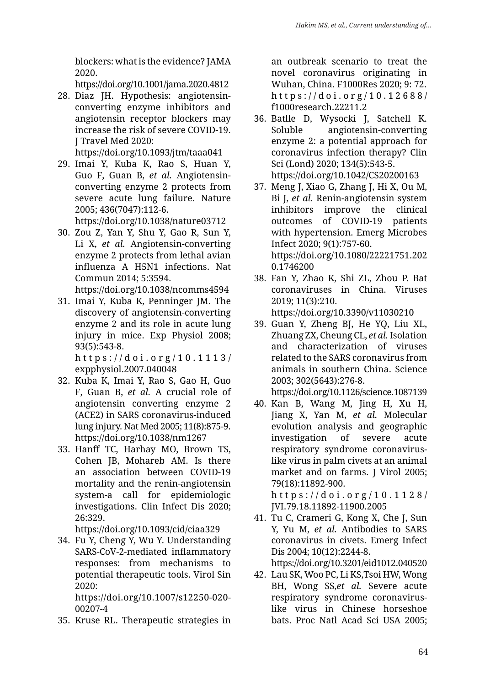blockers: what is the evidence? JAMA 2020.

https://doi.org/10.1001/jama.2020.4812

28. Diaz JH. Hypothesis: angiotensinconverting enzyme inhibitors and angiotensin receptor blockers may increase the risk of severe COVID-19. J Travel Med 2020: https://doi.org/10.1093/jtm/taaa041

29. Imai Y, Kuba K, Rao S, Huan Y, Guo F, Guan B, *et al.* Angiotensinconverting enzyme 2 protects from severe acute lung failure. Nature 2005; 436(7047):112-6.

https://doi.org/10.1038/nature03712

30. Zou Z, Yan Y, Shu Y, Gao R, Sun Y, Li X, *et al.* Angiotensin-converting enzyme 2 protects from lethal avian influenza A H5N1 infections. Nat Commun 2014; 5:3594.

https://doi.org/10.1038/ncomms4594

31. Imai Y, Kuba K, Penninger JM. The discovery of angiotensin-converting enzyme 2 and its role in acute lung injury in mice. Exp Physiol 2008; 93(5):543-8.

https://doi.org/10.1113/ expphysiol.2007.040048

- 32. Kuba K, Imai Y, Rao S, Gao H, Guo F, Guan B, *et al.* A crucial role of angiotensin converting enzyme 2 (ACE2) in SARS coronavirus-induced lung injury. Nat Med 2005; 11(8):875-9. https://doi.org/10.1038/nm1267
- 33. Hanff TC, Harhay MO, Brown TS, Cohen JB, Mohareb AM. Is there an association between COVID-19 mortality and the renin-angiotensin system-a call for epidemiologic investigations. Clin Infect Dis 2020; 26:329.

https://doi.org/10.1093/cid/ciaa329

34. Fu Y, Cheng Y, Wu Y. Understanding SARS-CoV-2-mediated inflammatory responses: from mechanisms to potential therapeutic tools. Virol Sin 2020:

https://doi.org/10.1007/s12250-020- 00207-4

35. Kruse RL. Therapeutic strategies in

an outbreak scenario to treat the novel coronavirus originating in Wuhan, China. F1000Res 2020; 9: 72. https://doi.org/10.12688/ f1000research.22211.2

- 36. Batlle D, Wysocki J, Satchell K. Soluble angiotensin-converting enzyme 2: a potential approach for coronavirus infection therapy? Clin Sci (Lond) 2020; 134(5):543-5. https://doi.org/10.1042/CS20200163
- 37. Meng J, Xiao G, Zhang J, Hi X, Ou M, Bi J, *et al.* Renin-angiotensin system inhibitors improve the clinical outcomes of COVID-19 patients with hypertension. Emerg Microbes Infect 2020; 9(1):757-60. https://doi.org/10.1080/22221751.202 0.1746200
- 38. Fan Y, Zhao K, Shi ZL, Zhou P. Bat coronaviruses in China. Viruses 2019; 11(3):210.
- https://doi.org/10.3390/v11030210
- 39. Guan Y, Zheng BJ, He YQ, Liu XL, Zhuang ZX, Cheung CL, *et al.* Isolation and characterization of viruses related to the SARS coronavirus from animals in southern China. Science 2003; 302(5643):276-8.

https://doi.org/10.1126/science.1087139

40. Kan B, Wang M, Jing H, Xu H, Jiang X, Yan M, *et al.* Molecular evolution analysis and geographic investigation of severe acute respiratory syndrome coronaviruslike virus in palm civets at an animal market and on farms. J Virol 2005; 79(18):11892-900. https://doi.org/10.1128/

JVI.79.18.11892-11900.2005

- 41. Tu C, Crameri G, Kong X, Che J, Sun Y, Yu M, *et al.* Antibodies to SARS coronavirus in civets. Emerg Infect Dis 2004; 10(12):2244-8. https://doi.org/10.3201/eid1012.040520
- 42. Lau SK, Woo PC, Li KS,Tsoi HW, Wong BH, Wong SS,*et al.* Severe acute respiratory syndrome coronaviruslike virus in Chinese horseshoe bats. Proc Natl Acad Sci USA 2005;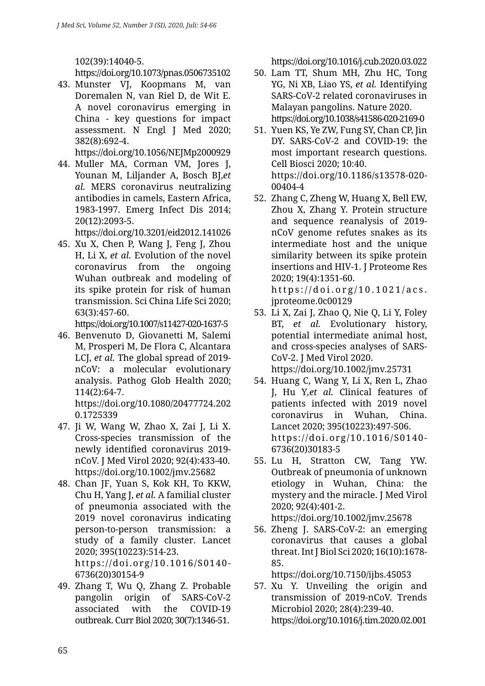102(39):14040-5.

https://doi.org/10.1073/pnas.0506735102

43. Munster VJ, Koopmans M, van Doremalen N, van Riel D, de Wit E. A novel coronavirus emerging in China - key questions for impact assessment. N Engl J Med 2020; 382(8):692-4.

https://doi.org/10.1056/NEJMp2000929

44. Muller MA, Corman VM, Jores J, Younan M, Liljander A, Bosch BJ,*et al.* MERS coronavirus neutralizing antibodies in camels, Eastern Africa, 1983-1997. Emerg Infect Dis 2014; 20(12):2093-5.

https://doi.org/10.3201/eid2012.141026

45. Xu X, Chen P, Wang J, Feng J, Zhou H, Li X, *et al.* Evolution of the novel coronavirus from the ongoing Wuhan outbreak and modeling of its spike protein for risk of human transmission. Sci China Life Sci 2020; 63(3):457-60.

https://doi.org/10.1007/s11427-020-1637-5

46. Benvenuto D, Giovanetti M, Salemi M, Prosperi M, De Flora C, Alcantara LCJ, *et al.* The global spread of 2019 nCoV: a molecular evolutionary analysis. Pathog Glob Health 2020; 114(2):64-7.

https://doi.org/10.1080/20477724.202 0.1725339

- 47. Ji W, Wang W, Zhao X, Zai J, Li X. Cross-species transmission of the newly identified coronavirus 2019 nCoV. J Med Virol 2020; 92(4):433-40. https://doi.org/10.1002/jmv.25682
- 48. Chan JF, Yuan S, Kok KH, To KKW, Chu H, Yang J, *et al.* A familial cluster of pneumonia associated with the 2019 novel coronavirus indicating person-to-person transmission: a study of a family cluster. Lancet 2020; 395(10223):514-23. https://doi.org/10.1016/S0140- 6736(20)30154-9
- 49. Zhang T, Wu Q, Zhang Z. Probable pangolin origin of SARS-CoV-2 associated with the COVID-19 outbreak. Curr Biol 2020; 30(7):1346-51.

https://doi.org/10.1016/j.cub.2020.03.022

- 50. Lam TT, Shum MH, Zhu HC, Tong YG, Ni XB, Liao YS, *et al.* Identifying SARS-CoV-2 related coronaviruses in Malayan pangolins. Nature 2020. https://doi.org/10.1038/s41586-020-2169-0
- 51. Yuen KS, Ye ZW, Fung SY, Chan CP, Jin DY. SARS-CoV-2 and COVID-19: the most important research questions. Cell Biosci 2020; 10:40. https://doi.org/10.1186/s13578-020- 00404-4
- 52. Zhang C, Zheng W, Huang X, Bell EW, Zhou X, Zhang Y. Protein structure and sequence reanalysis of 2019 nCoV genome refutes snakes as its intermediate host and the unique similarity between its spike protein insertions and HIV-1. J Proteome Res 2020; 19(4):1351-60. https://doi.org/10.1021/acs. jproteome.0c00129
- 53. Li X, Zai J, Zhao Q, Nie Q, Li Y, Foley BT, *et al.* Evolutionary history, potential intermediate animal host, and cross-species analyses of SARS-CoV-2. J Med Virol 2020. https://doi.org/10.1002/jmv.25731
- 54. Huang C, Wang Y, Li X, Ren L, Zhao J, Hu Y*,et al.* Clinical features of patients infected with 2019 novel coronavirus in Wuhan, China. Lancet 2020; 395(10223):497-506. https://doi.org/10.1016/S0140- 6736(20)30183-5
- 55. Lu H, Stratton CW, Tang YW. Outbreak of pneumonia of unknown etiology in Wuhan, China: the mystery and the miracle. J Med Virol 2020; 92(4):401-2. https://doi.org/10.1002/jmv.25678
- 56. Zheng J. SARS-CoV-2: an emerging coronavirus that causes a global threat. Int J Biol Sci 2020; 16(10):1678- 85.

https://doi.org/10.7150/ijbs.45053

57. Xu Y. Unveiling the origin and transmission of 2019-nCoV. Trends Microbiol 2020; 28(4):239-40. https://doi.org/10.1016/j.tim.2020.02.001